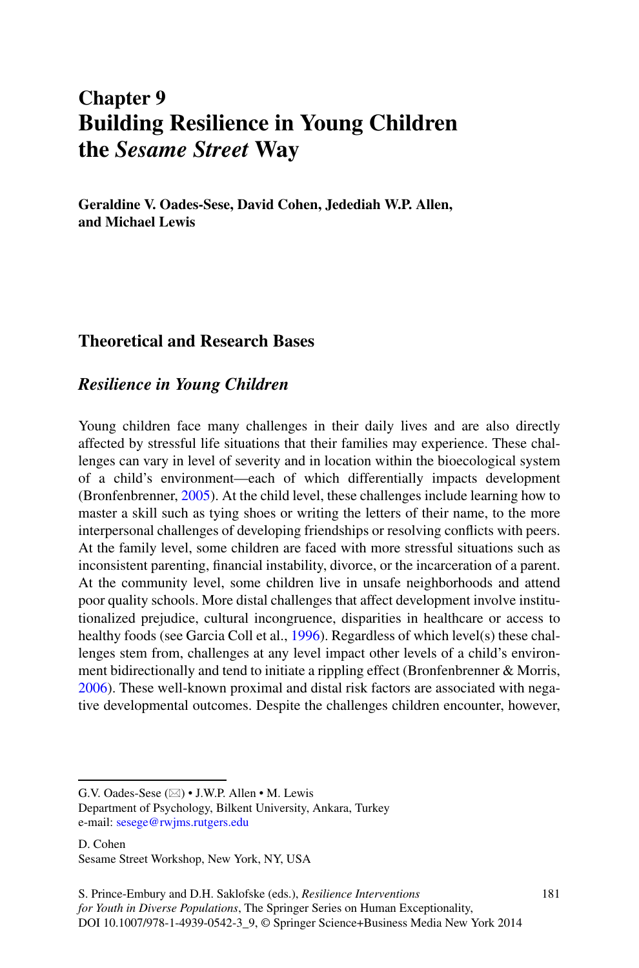# **Chapter 9 Building Resilience in Young Children the** *Sesame Street* **Way**

Geraldine V. Oades-Sese, David Cohen, Jedediah W.P. Allen, **and Michael Lewis** 

# **Theoretical and Research Bases**

## *Resilience in Young Children*

 Young children face many challenges in their daily lives and are also directly affected by stressful life situations that their families may experience. These challenges can vary in level of severity and in location within the bioecological system of a child's environment—each of which differentially impacts development (Bronfenbrenner, [2005 \)](#page-18-0). At the child level, these challenges include learning how to master a skill such as tying shoes or writing the letters of their name, to the more interpersonal challenges of developing friendships or resolving conflicts with peers. At the family level, some children are faced with more stressful situations such as inconsistent parenting, financial instability, divorce, or the incarceration of a parent. At the community level, some children live in unsafe neighborhoods and attend poor quality schools. More distal challenges that affect development involve institutionalized prejudice, cultural incongruence, disparities in healthcare or access to healthy foods (see Garcia Coll et al., [1996](#page-18-0)). Regardless of which level(s) these challenges stem from, challenges at any level impact other levels of a child's environment bidirectionally and tend to initiate a rippling effect (Bronfenbrenner & Morris, 2006). These well-known proximal and distal risk factors are associated with negative developmental outcomes. Despite the challenges children encounter, however,

G.V. Oades-Sese  $(\boxtimes) \cdot$  J.W.P. Allen  $\cdot$  M. Lewis

Department of Psychology, Bilkent University, Ankara, Turkey e-mail: [sesege@rwjms.rutgers.edu](mailto:sesege@rwjms.rutgers.edu)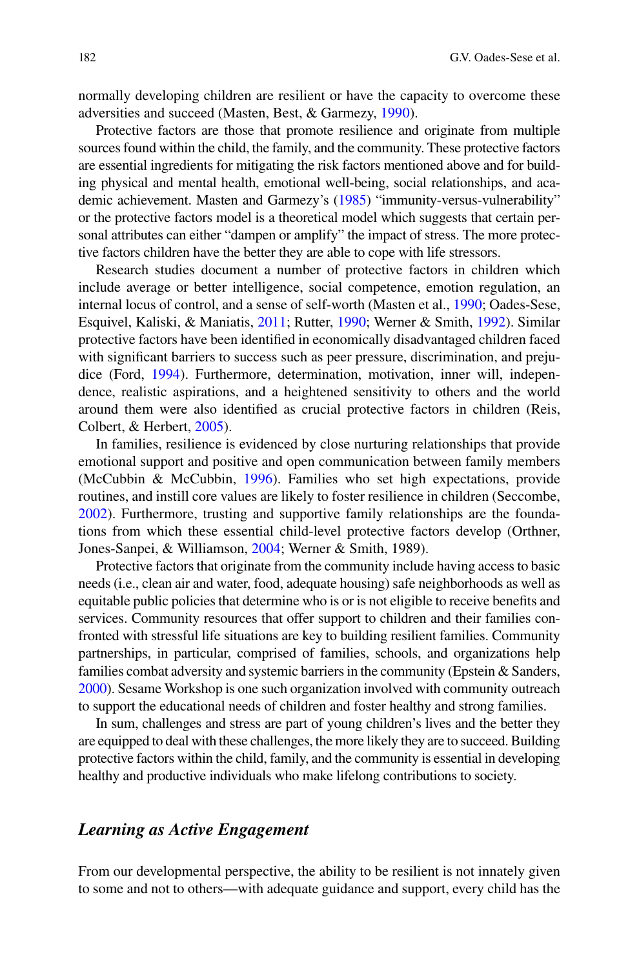normally developing children are resilient or have the capacity to overcome these adversities and succeed (Masten, Best, & Garmezy, 1990).

 Protective factors are those that promote resilience and originate from multiple sources found within the child, the family, and the community. These protective factors are essential ingredients for mitigating the risk factors mentioned above and for building physical and mental health, emotional well-being, social relationships, and academic achievement. Masten and Garmezy's (1985) "immunity-versus-vulnerability" or the protective factors model is a theoretical model which suggests that certain personal attributes can either "dampen or amplify" the impact of stress. The more protective factors children have the better they are able to cope with life stressors.

 Research studies document a number of protective factors in children which include average or better intelligence, social competence, emotion regulation, an internal locus of control, and a sense of self-worth (Masten et al., 1990; Oades-Sese, Esquivel, Kaliski, & Maniatis, [2011](#page-19-0) ; Rutter, [1990 ;](#page-19-0) Werner & Smith, [1992 \)](#page-20-0). Similar protective factors have been identified in economically disadvantaged children faced with significant barriers to success such as peer pressure, discrimination, and prejudice (Ford, 1994). Furthermore, determination, motivation, inner will, independence, realistic aspirations, and a heightened sensitivity to others and the world around them were also identified as crucial protective factors in children (Reis, Colbert, & Herbert, 2005).

 In families, resilience is evidenced by close nurturing relationships that provide emotional support and positive and open communication between family members (McCubbin & McCubbin, 1996). Families who set high expectations, provide routines, and instill core values are likely to foster resilience in children (Seccombe, 2002). Furthermore, trusting and supportive family relationships are the foundations from which these essential child-level protective factors develop (Orthner, Jones-Sanpei, & Williamson, [2004](#page-19-0); Werner & Smith, 1989).

 Protective factors that originate from the community include having access to basic needs (i.e., clean air and water, food, adequate housing) safe neighborhoods as well as equitable public policies that determine who is or is not eligible to receive benefits and services. Community resources that offer support to children and their families confronted with stressful life situations are key to building resilient families. Community partnerships, in particular, comprised of families, schools, and organizations help families combat adversity and systemic barriers in the community (Epstein & Sanders, [2000](#page-18-0) ). Sesame Workshop is one such organization involved with community outreach to support the educational needs of children and foster healthy and strong families.

 In sum, challenges and stress are part of young children's lives and the better they are equipped to deal with these challenges, the more likely they are to succeed. Building protective factors within the child, family, and the community is essential in developing healthy and productive individuals who make lifelong contributions to society.

#### *Learning as Active Engagement*

 From our developmental perspective, the ability to be resilient is not innately given to some and not to others—with adequate guidance and support, every child has the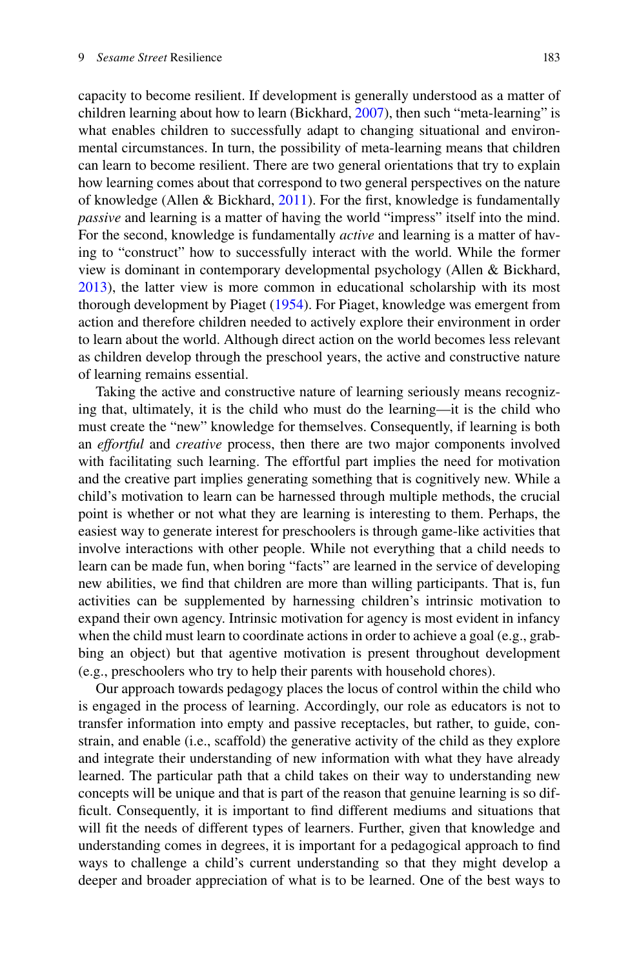capacity to become resilient. If development is generally understood as a matter of children learning about how to learn (Bickhard, [2007](#page-18-0) ), then such "meta-learning" is what enables children to successfully adapt to changing situational and environmental circumstances. In turn, the possibility of meta-learning means that children can learn to become resilient. There are two general orientations that try to explain how learning comes about that correspond to two general perspectives on the nature of knowledge (Allen & Bickhard,  $2011$ ). For the first, knowledge is fundamentally *passive* and learning is a matter of having the world "impress" itself into the mind. For the second, knowledge is fundamentally *active* and learning is a matter of having to "construct" how to successfully interact with the world. While the former view is dominant in contemporary developmental psychology (Allen & Bickhard, 2013), the latter view is more common in educational scholarship with its most thorough development by Piaget ( [1954 \)](#page-19-0). For Piaget, knowledge was emergent from action and therefore children needed to actively explore their environment in order to learn about the world. Although direct action on the world becomes less relevant as children develop through the preschool years, the active and constructive nature of learning remains essential.

 Taking the active and constructive nature of learning seriously means recognizing that, ultimately, it is the child who must do the learning—it is the child who must create the "new" knowledge for themselves. Consequently, if learning is both an *effortful* and *creative* process, then there are two major components involved with facilitating such learning. The effortful part implies the need for motivation and the creative part implies generating something that is cognitively new. While a child's motivation to learn can be harnessed through multiple methods, the crucial point is whether or not what they are learning is interesting to them. Perhaps, the easiest way to generate interest for preschoolers is through game-like activities that involve interactions with other people. While not everything that a child needs to learn can be made fun, when boring "facts" are learned in the service of developing new abilities, we find that children are more than willing participants. That is, fun activities can be supplemented by harnessing children's intrinsic motivation to expand their own agency. Intrinsic motivation for agency is most evident in infancy when the child must learn to coordinate actions in order to achieve a goal (e.g., grabbing an object) but that agentive motivation is present throughout development (e.g., preschoolers who try to help their parents with household chores).

 Our approach towards pedagogy places the locus of control within the child who is engaged in the process of learning. Accordingly, our role as educators is not to transfer information into empty and passive receptacles, but rather, to guide, constrain, and enable (i.e., scaffold) the generative activity of the child as they explore and integrate their understanding of new information with what they have already learned. The particular path that a child takes on their way to understanding new concepts will be unique and that is part of the reason that genuine learning is so difficult. Consequently, it is important to find different mediums and situations that will fit the needs of different types of learners. Further, given that knowledge and understanding comes in degrees, it is important for a pedagogical approach to find ways to challenge a child's current understanding so that they might develop a deeper and broader appreciation of what is to be learned. One of the best ways to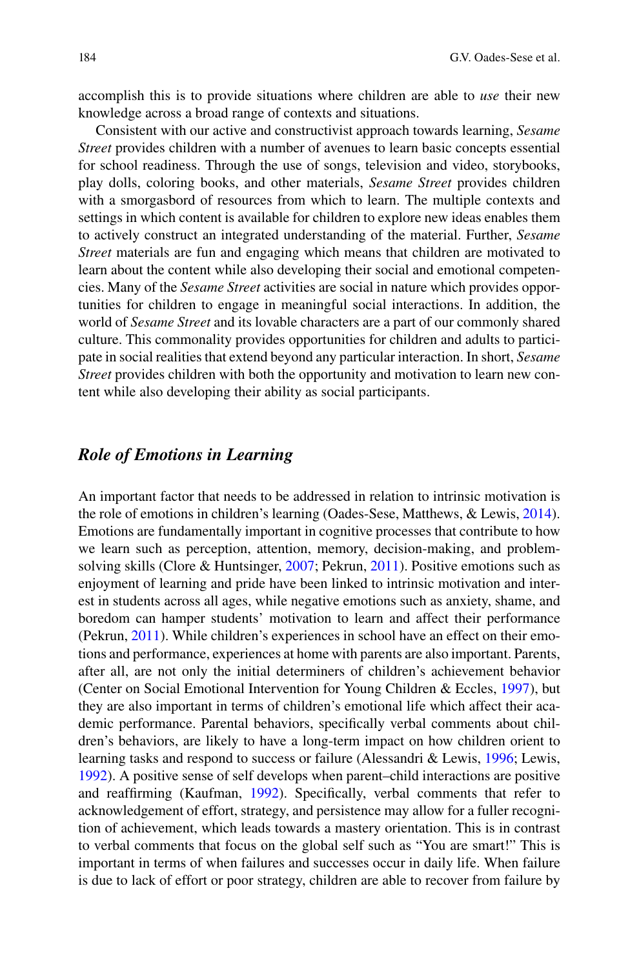accomplish this is to provide situations where children are able to *use* their new knowledge across a broad range of contexts and situations.

 Consistent with our active and constructivist approach towards learning, *Sesame Street* provides children with a number of avenues to learn basic concepts essential for school readiness. Through the use of songs, television and video, storybooks, play dolls, coloring books, and other materials, *Sesame Street* provides children with a smorgasbord of resources from which to learn. The multiple contexts and settings in which content is available for children to explore new ideas enables them to actively construct an integrated understanding of the material. Further, *Sesame Street* materials are fun and engaging which means that children are motivated to learn about the content while also developing their social and emotional competencies. Many of the *Sesame Street* activities are social in nature which provides opportunities for children to engage in meaningful social interactions. In addition, the world of *Sesame Street* and its lovable characters are a part of our commonly shared culture. This commonality provides opportunities for children and adults to participate in social realities that extend beyond any particular interaction. In short, *Sesame Street* provides children with both the opportunity and motivation to learn new content while also developing their ability as social participants.

## *Role of Emotions in Learning*

 An important factor that needs to be addressed in relation to intrinsic motivation is the role of emotions in children's learning (Oades-Sese, Matthews, & Lewis, [2014 \)](#page-19-0). Emotions are fundamentally important in cognitive processes that contribute to how we learn such as perception, attention, memory, decision-making, and problemsolving skills (Clore & Huntsinger, [2007](#page-18-0) ; Pekrun, [2011 \)](#page-19-0). Positive emotions such as enjoyment of learning and pride have been linked to intrinsic motivation and interest in students across all ages, while negative emotions such as anxiety, shame, and boredom can hamper students' motivation to learn and affect their performance (Pekrun, [2011](#page-19-0)). While children's experiences in school have an effect on their emotions and performance, experiences at home with parents are also important. Parents, after all, are not only the initial determiners of children's achievement behavior (Center on Social Emotional Intervention for Young Children  $& Eccles, 1997$  $& Eccles, 1997$ ), but they are also important in terms of children's emotional life which affect their academic performance. Parental behaviors, specifically verbal comments about children's behaviors, are likely to have a long-term impact on how children orient to learning tasks and respond to success or failure (Alessandri & Lewis, [1996](#page-17-0); Lewis, [1992 \)](#page-19-0). A positive sense of self develops when parent–child interactions are positive and reaffirming (Kaufman, 1992). Specifically, verbal comments that refer to acknowledgement of effort, strategy, and persistence may allow for a fuller recognition of achievement, which leads towards a mastery orientation. This is in contrast to verbal comments that focus on the global self such as "You are smart!" This is important in terms of when failures and successes occur in daily life. When failure is due to lack of effort or poor strategy, children are able to recover from failure by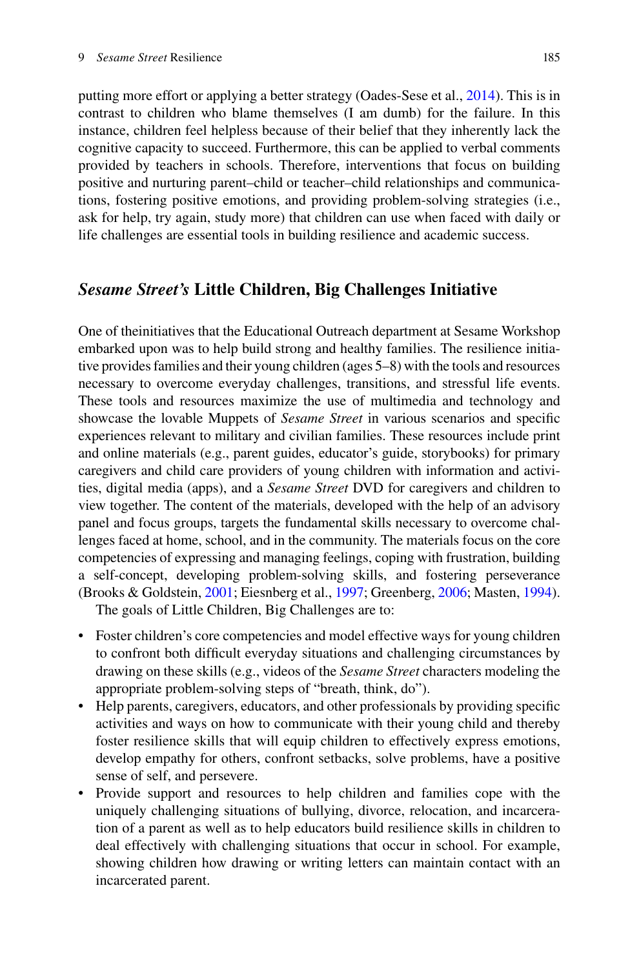putting more effort or applying a better strategy (Oades-Sese et al., 2014). This is in contrast to children who blame themselves (I am dumb) for the failure. In this instance, children feel helpless because of their belief that they inherently lack the cognitive capacity to succeed. Furthermore, this can be applied to verbal comments provided by teachers in schools. Therefore, interventions that focus on building positive and nurturing parent–child or teacher–child relationships and communications, fostering positive emotions, and providing problem-solving strategies (i.e., ask for help, try again, study more) that children can use when faced with daily or life challenges are essential tools in building resilience and academic success.

## *Sesame Street's* **Little Children, Big Challenges Initiative**

 One of theinitiatives that the Educational Outreach department at Sesame Workshop embarked upon was to help build strong and healthy families. The resilience initiative provides families and their young children (ages 5–8) with the tools and resources necessary to overcome everyday challenges, transitions, and stressful life events. These tools and resources maximize the use of multimedia and technology and showcase the lovable Muppets of *Sesame Street* in various scenarios and specific experiences relevant to military and civilian families. These resources include print and online materials (e.g., parent guides, educator's guide, storybooks) for primary caregivers and child care providers of young children with information and activities, digital media (apps), and a *Sesame Street* DVD for caregivers and children to view together. The content of the materials, developed with the help of an advisory panel and focus groups, targets the fundamental skills necessary to overcome challenges faced at home, school, and in the community. The materials focus on the core competencies of expressing and managing feelings, coping with frustration, building a self-concept, developing problem-solving skills, and fostering perseverance (Brooks & Goldstein, 2001; Eiesnberg et al., [1997](#page-18-0); Greenberg, [2006](#page-18-0); Masten, 1994).

The goals of Little Children, Big Challenges are to:

- Foster children's core competencies and model effective ways for young children to confront both difficult everyday situations and challenging circumstances by drawing on these skills (e.g., videos of the *Sesame Street* characters modeling the appropriate problem-solving steps of "breath, think, do").
- Help parents, caregivers, educators, and other professionals by providing specific activities and ways on how to communicate with their young child and thereby foster resilience skills that will equip children to effectively express emotions, develop empathy for others, confront setbacks, solve problems, have a positive sense of self, and persevere.
- Provide support and resources to help children and families cope with the uniquely challenging situations of bullying, divorce, relocation, and incarceration of a parent as well as to help educators build resilience skills in children to deal effectively with challenging situations that occur in school. For example, showing children how drawing or writing letters can maintain contact with an incarcerated parent.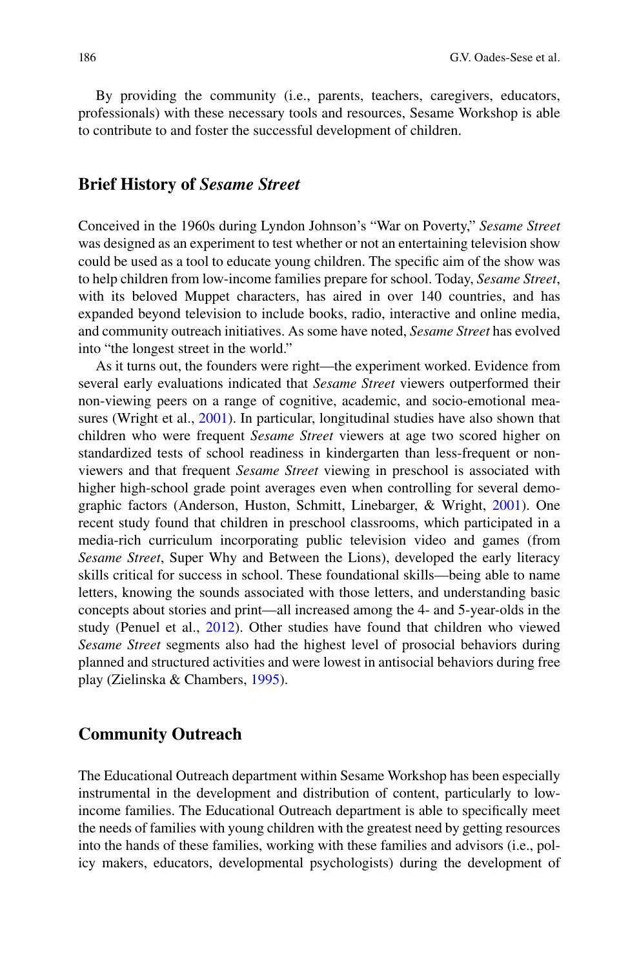By providing the community (i.e., parents, teachers, caregivers, educators, professionals) with these necessary tools and resources, Sesame Workshop is able to contribute to and foster the successful development of children.

#### **Brief History of** *Sesame Street*

 Conceived in the 1960s during Lyndon Johnson's "War on Poverty," *Sesame Street* was designed as an experiment to test whether or not an entertaining television show could be used as a tool to educate young children. The specific aim of the show was to help children from low-income families prepare for school. Today, *Sesame Street*, with its beloved Muppet characters, has aired in over 140 countries, and has expanded beyond television to include books, radio, interactive and online media, and community outreach initiatives. As some have noted, *Sesame Street* has evolved into "the longest street in the world."

 As it turns out, the founders were right—the experiment worked. Evidence from several early evaluations indicated that *Sesame Street* viewers outperformed their non-viewing peers on a range of cognitive, academic, and socio-emotional measures (Wright et al., 2001). In particular, longitudinal studies have also shown that children who were frequent *Sesame Street* viewers at age two scored higher on standardized tests of school readiness in kindergarten than less-frequent or nonviewers and that frequent *Sesame Street* viewing in preschool is associated with higher high-school grade point averages even when controlling for several demographic factors (Anderson, Huston, Schmitt, Linebarger, & Wright, 2001). One recent study found that children in preschool classrooms, which participated in a media-rich curriculum incorporating public television video and games (from *Sesame Street*, Super Why and Between the Lions), developed the early literacy skills critical for success in school. These foundational skills—being able to name letters, knowing the sounds associated with those letters, and understanding basic concepts about stories and print—all increased among the 4- and 5-year-olds in the study (Penuel et al.,  $2012$ ). Other studies have found that children who viewed *Sesame Street* segments also had the highest level of prosocial behaviors during planned and structured activities and were lowest in antisocial behaviors during free play (Zielinska & Chambers, [1995](#page-20-0)).

## **Community Outreach**

 The Educational Outreach department within Sesame Workshop has been especially instrumental in the development and distribution of content, particularly to lowincome families. The Educational Outreach department is able to specifically meet the needs of families with young children with the greatest need by getting resources into the hands of these families, working with these families and advisors (i.e., policy makers, educators, developmental psychologists) during the development of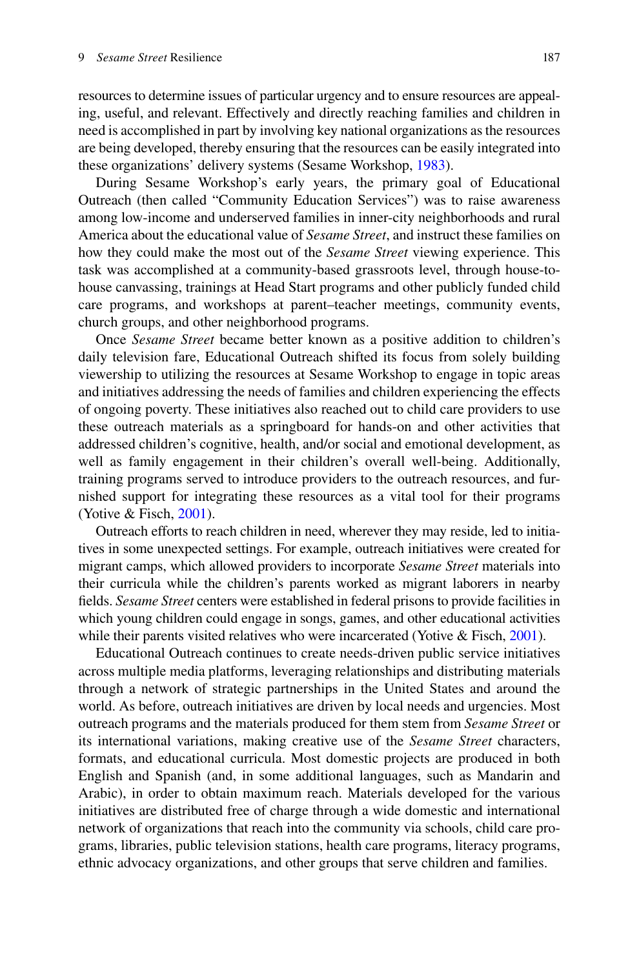resources to determine issues of particular urgency and to ensure resources are appealing, useful, and relevant. Effectively and directly reaching families and children in need is accomplished in part by involving key national organizations as the resources are being developed, thereby ensuring that the resources can be easily integrated into these organizations' delivery systems (Sesame Workshop, [1983](#page-20-0) ).

 During Sesame Workshop's early years, the primary goal of Educational Outreach (then called "Community Education Services") was to raise awareness among low-income and underserved families in inner-city neighborhoods and rural America about the educational value of *Sesame Street*, and instruct these families on how they could make the most out of the *Sesame Street* viewing experience. This task was accomplished at a community-based grassroots level, through house-tohouse canvassing, trainings at Head Start programs and other publicly funded child care programs, and workshops at parent–teacher meetings, community events, church groups, and other neighborhood programs.

 Once *Sesame Street* became better known as a positive addition to children's daily television fare, Educational Outreach shifted its focus from solely building viewership to utilizing the resources at Sesame Workshop to engage in topic areas and initiatives addressing the needs of families and children experiencing the effects of ongoing poverty. These initiatives also reached out to child care providers to use these outreach materials as a springboard for hands-on and other activities that addressed children's cognitive, health, and/or social and emotional development, as well as family engagement in their children's overall well-being. Additionally, training programs served to introduce providers to the outreach resources, and furnished support for integrating these resources as a vital tool for their programs (Yotive  $&$  Fisch, [2001](#page-20-0)).

 Outreach efforts to reach children in need, wherever they may reside, led to initiatives in some unexpected settings. For example, outreach initiatives were created for migrant camps, which allowed providers to incorporate *Sesame Street* materials into their curricula while the children's parents worked as migrant laborers in nearby fi elds. *Sesame Street* centers were established in federal prisons to provide facilities in which young children could engage in songs, games, and other educational activities while their parents visited relatives who were incarcerated (Yotive  $&$  Fisch, [2001](#page-20-0)).

 Educational Outreach continues to create needs-driven public service initiatives across multiple media platforms, leveraging relationships and distributing materials through a network of strategic partnerships in the United States and around the world. As before, outreach initiatives are driven by local needs and urgencies. Most outreach programs and the materials produced for them stem from *Sesame Street* or its international variations, making creative use of the *Sesame Street* characters, formats, and educational curricula. Most domestic projects are produced in both English and Spanish (and, in some additional languages, such as Mandarin and Arabic), in order to obtain maximum reach. Materials developed for the various initiatives are distributed free of charge through a wide domestic and international network of organizations that reach into the community via schools, child care programs, libraries, public television stations, health care programs, literacy programs, ethnic advocacy organizations, and other groups that serve children and families.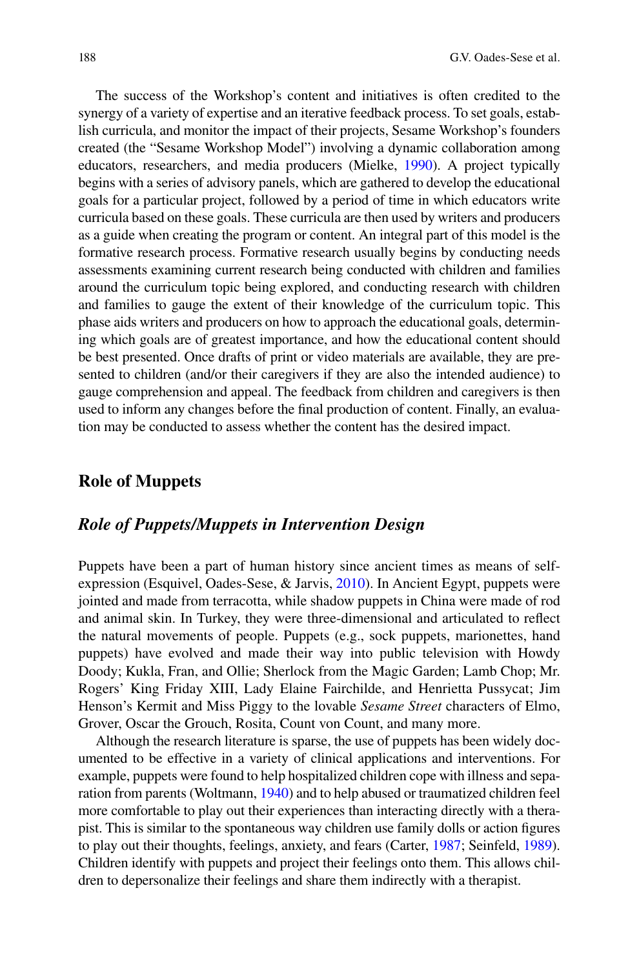The success of the Workshop's content and initiatives is often credited to the synergy of a variety of expertise and an iterative feedback process. To set goals, establish curricula, and monitor the impact of their projects, Sesame Workshop's founders created (the "Sesame Workshop Model") involving a dynamic collaboration among educators, researchers, and media producers (Mielke, 1990). A project typically begins with a series of advisory panels, which are gathered to develop the educational goals for a particular project, followed by a period of time in which educators write curricula based on these goals. These curricula are then used by writers and producers as a guide when creating the program or content. An integral part of this model is the formative research process. Formative research usually begins by conducting needs assessments examining current research being conducted with children and families around the curriculum topic being explored, and conducting research with children and families to gauge the extent of their knowledge of the curriculum topic. This phase aids writers and producers on how to approach the educational goals, determining which goals are of greatest importance, and how the educational content should be best presented. Once drafts of print or video materials are available, they are presented to children (and/or their caregivers if they are also the intended audience) to gauge comprehension and appeal. The feedback from children and caregivers is then used to inform any changes before the final production of content. Finally, an evaluation may be conducted to assess whether the content has the desired impact.

#### **Role of Muppets**

## *Role of Puppets/Muppets in Intervention Design*

 Puppets have been a part of human history since ancient times as means of self-expression (Esquivel, Oades-Sese, & Jarvis, [2010](#page-18-0)). In Ancient Egypt, puppets were jointed and made from terracotta, while shadow puppets in China were made of rod and animal skin. In Turkey, they were three-dimensional and articulated to reflect the natural movements of people. Puppets (e.g., sock puppets, marionettes, hand puppets) have evolved and made their way into public television with Howdy Doody; Kukla, Fran, and Ollie; Sherlock from the Magic Garden; Lamb Chop; Mr. Rogers' King Friday XIII, Lady Elaine Fairchilde, and Henrietta Pussycat; Jim Henson's Kermit and Miss Piggy to the lovable *Sesame Street* characters of Elmo, Grover, Oscar the Grouch, Rosita, Count von Count, and many more.

 Although the research literature is sparse, the use of puppets has been widely documented to be effective in a variety of clinical applications and interventions. For example, puppets were found to help hospitalized children cope with illness and separation from parents (Woltmann, 1940) and to help abused or traumatized children feel more comfortable to play out their experiences than interacting directly with a therapist. This is similar to the spontaneous way children use family dolls or action figures to play out their thoughts, feelings, anxiety, and fears (Carter, [1987](#page-18-0); Seinfeld, 1989). Children identify with puppets and project their feelings onto them. This allows children to depersonalize their feelings and share them indirectly with a therapist.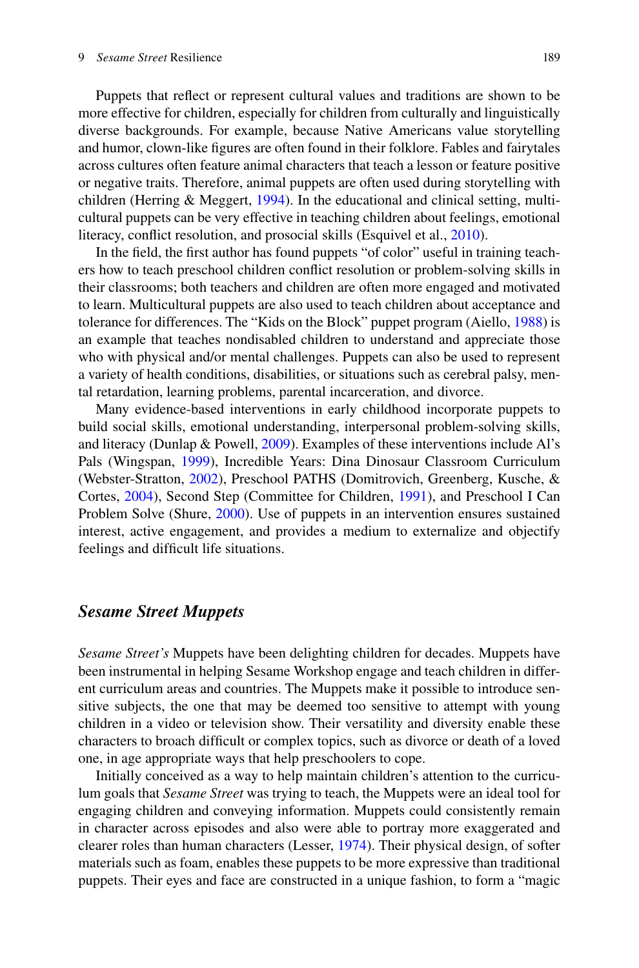Puppets that reflect or represent cultural values and traditions are shown to be more effective for children, especially for children from culturally and linguistically diverse backgrounds. For example, because Native Americans value storytelling and humor, clown-like figures are often found in their folklore. Fables and fairytales across cultures often feature animal characters that teach a lesson or feature positive or negative traits. Therefore, animal puppets are often used during storytelling with children (Herring  $&$  Meggert, [1994](#page-18-0)). In the educational and clinical setting, multicultural puppets can be very effective in teaching children about feelings, emotional literacy, conflict resolution, and prosocial skills (Esquivel et al., [2010](#page-18-0)).

In the field, the first author has found puppets "of color" useful in training teachers how to teach preschool children conflict resolution or problem-solving skills in their classrooms; both teachers and children are often more engaged and motivated to learn. Multicultural puppets are also used to teach children about acceptance and tolerance for differences. The "Kids on the Block" puppet program (Aiello, [1988](#page-17-0)) is an example that teaches nondisabled children to understand and appreciate those who with physical and/or mental challenges. Puppets can also be used to represent a variety of health conditions, disabilities, or situations such as cerebral palsy, mental retardation, learning problems, parental incarceration, and divorce.

 Many evidence-based interventions in early childhood incorporate puppets to build social skills, emotional understanding, interpersonal problem-solving skills, and literacy (Dunlap & Powell,  $2009$ ). Examples of these interventions include Al's Pals (Wingspan, 1999), Incredible Years: Dina Dinosaur Classroom Curriculum (Webster-Stratton, [2002](#page-20-0)), Preschool PATHS (Domitrovich, Greenberg, Kusche, & Cortes, 2004), Second Step (Committee for Children, [1991](#page-18-0)), and Preschool I Can Problem Solve (Shure, [2000](#page-20-0)). Use of puppets in an intervention ensures sustained interest, active engagement, and provides a medium to externalize and objectify feelings and difficult life situations.

#### *Sesame Street Muppets*

*Sesame Street's* Muppets have been delighting children for decades. Muppets have been instrumental in helping Sesame Workshop engage and teach children in different curriculum areas and countries. The Muppets make it possible to introduce sensitive subjects, the one that may be deemed too sensitive to attempt with young children in a video or television show. Their versatility and diversity enable these characters to broach difficult or complex topics, such as divorce or death of a loved one, in age appropriate ways that help preschoolers to cope.

 Initially conceived as a way to help maintain children's attention to the curriculum goals that *Sesame Street* was trying to teach, the Muppets were an ideal tool for engaging children and conveying information. Muppets could consistently remain in character across episodes and also were able to portray more exaggerated and clearer roles than human characters (Lesser, [1974](#page-19-0)). Their physical design, of softer materials such as foam, enables these puppets to be more expressive than traditional puppets. Their eyes and face are constructed in a unique fashion, to form a "magic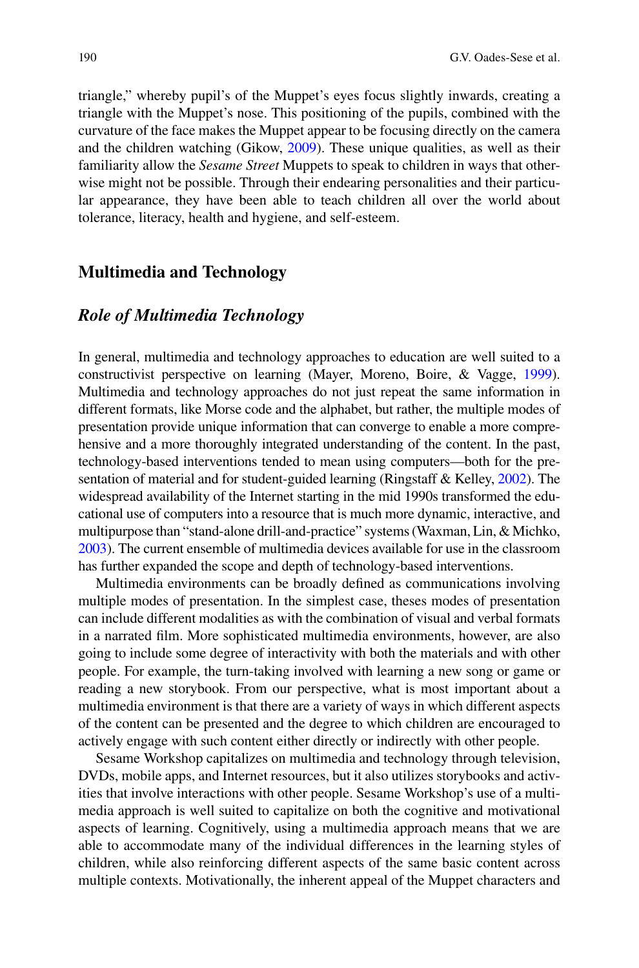triangle," whereby pupil's of the Muppet's eyes focus slightly inwards, creating a triangle with the Muppet's nose. This positioning of the pupils, combined with the curvature of the face makes the Muppet appear to be focusing directly on the camera and the children watching (Gikow, 2009). These unique qualities, as well as their familiarity allow the *Sesame Street* Muppets to speak to children in ways that otherwise might not be possible. Through their endearing personalities and their particular appearance, they have been able to teach children all over the world about tolerance, literacy, health and hygiene, and self-esteem.

## **Multimedia and Technology**

### *Role of Multimedia Technology*

 In general, multimedia and technology approaches to education are well suited to a constructivist perspective on learning (Mayer, Moreno, Boire, & Vagge, 1999). Multimedia and technology approaches do not just repeat the same information in different formats, like Morse code and the alphabet, but rather, the multiple modes of presentation provide unique information that can converge to enable a more comprehensive and a more thoroughly integrated understanding of the content. In the past, technology-based interventions tended to mean using computers—both for the presentation of material and for student-guided learning (Ringstaff  $&$  Kelley, [2002](#page-19-0)). The widespread availability of the Internet starting in the mid 1990s transformed the educational use of computers into a resource that is much more dynamic, interactive, and multipurpose than "stand-alone drill-and-practice" systems (Waxman, Lin, & Michko, [2003](#page-20-0) ). The current ensemble of multimedia devices available for use in the classroom has further expanded the scope and depth of technology-based interventions.

Multimedia environments can be broadly defined as communications involving multiple modes of presentation. In the simplest case, theses modes of presentation can include different modalities as with the combination of visual and verbal formats in a narrated film. More sophisticated multimedia environments, however, are also going to include some degree of interactivity with both the materials and with other people. For example, the turn-taking involved with learning a new song or game or reading a new storybook. From our perspective, what is most important about a multimedia environment is that there are a variety of ways in which different aspects of the content can be presented and the degree to which children are encouraged to actively engage with such content either directly or indirectly with other people.

 Sesame Workshop capitalizes on multimedia and technology through television, DVDs, mobile apps, and Internet resources, but it also utilizes storybooks and activities that involve interactions with other people. Sesame Workshop's use of a multimedia approach is well suited to capitalize on both the cognitive and motivational aspects of learning. Cognitively, using a multimedia approach means that we are able to accommodate many of the individual differences in the learning styles of children, while also reinforcing different aspects of the same basic content across multiple contexts. Motivationally, the inherent appeal of the Muppet characters and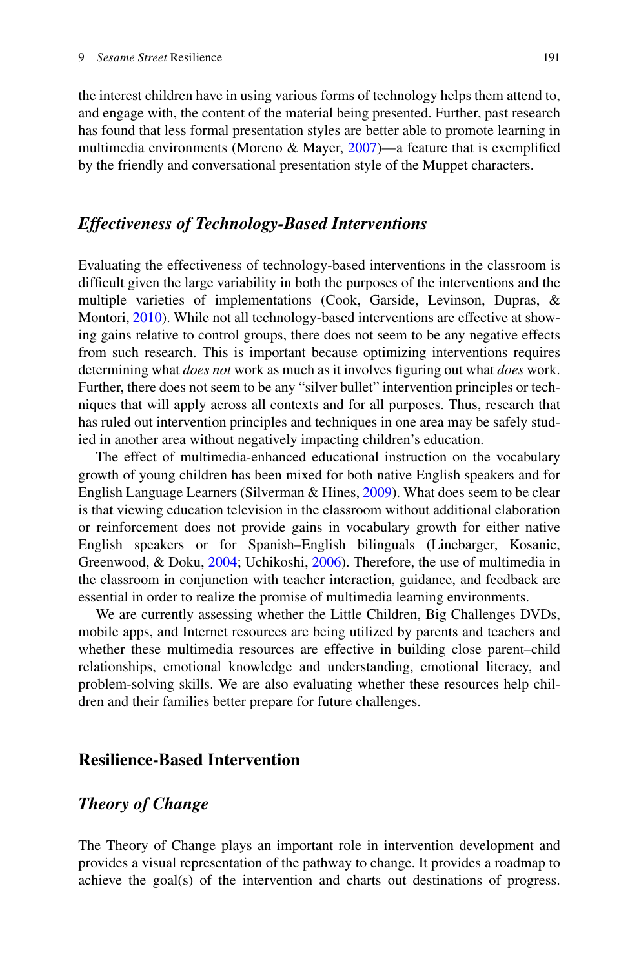the interest children have in using various forms of technology helps them attend to, and engage with, the content of the material being presented. Further, past research has found that less formal presentation styles are better able to promote learning in multimedia environments (Moreno & Mayer, [2007](#page-19-0))—a feature that is exemplified by the friendly and conversational presentation style of the Muppet characters.

## *Effectiveness of Technology-Based Interventions*

 Evaluating the effectiveness of technology-based interventions in the classroom is difficult given the large variability in both the purposes of the interventions and the multiple varieties of implementations (Cook, Garside, Levinson, Dupras, & Montori, [2010](#page-18-0)). While not all technology-based interventions are effective at showing gains relative to control groups, there does not seem to be any negative effects from such research. This is important because optimizing interventions requires determining what *does not* work as much as it involves figuring out what *does* work. Further, there does not seem to be any "silver bullet" intervention principles or techniques that will apply across all contexts and for all purposes. Thus, research that has ruled out intervention principles and techniques in one area may be safely studied in another area without negatively impacting children's education.

 The effect of multimedia-enhanced educational instruction on the vocabulary growth of young children has been mixed for both native English speakers and for English Language Learners (Silverman & Hines, [2009 \)](#page-20-0). What does seem to be clear is that viewing education television in the classroom without additional elaboration or reinforcement does not provide gains in vocabulary growth for either native English speakers or for Spanish–English bilinguals (Linebarger, Kosanic, Greenwood, & Doku,  $2004$ ; Uchikoshi,  $2006$ ). Therefore, the use of multimedia in the classroom in conjunction with teacher interaction, guidance, and feedback are essential in order to realize the promise of multimedia learning environments.

 We are currently assessing whether the Little Children, Big Challenges DVDs, mobile apps, and Internet resources are being utilized by parents and teachers and whether these multimedia resources are effective in building close parent–child relationships, emotional knowledge and understanding, emotional literacy, and problem-solving skills. We are also evaluating whether these resources help children and their families better prepare for future challenges.

# **Resilience-Based Intervention**

#### *Theory of Change*

 The Theory of Change plays an important role in intervention development and provides a visual representation of the pathway to change. It provides a roadmap to achieve the goal(s) of the intervention and charts out destinations of progress.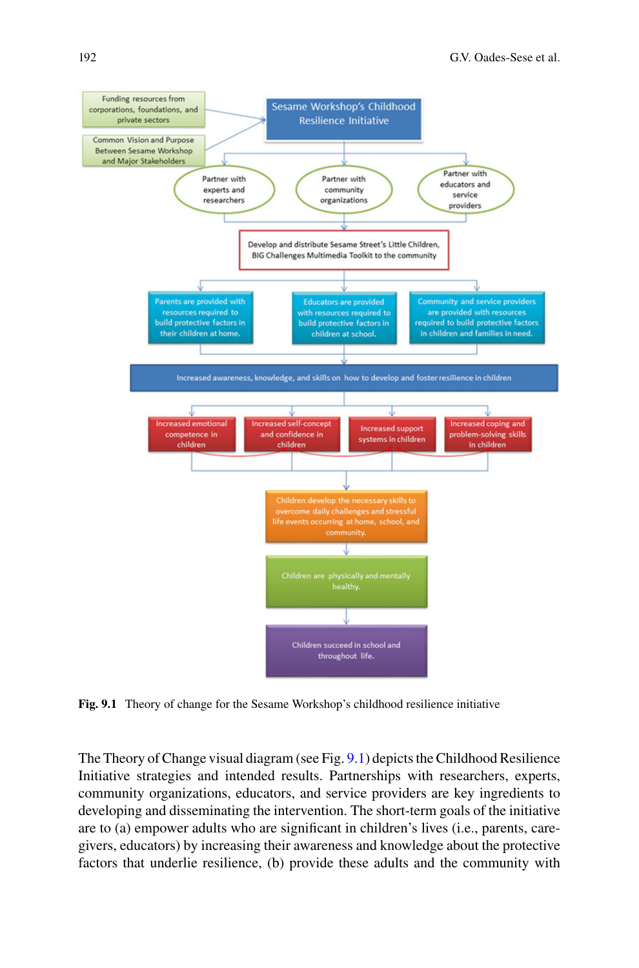

 **Fig. 9.1** Theory of change for the Sesame Workshop's childhood resilience initiative

The Theory of Change visual diagram (see Fig. 9.1) depicts the Childhood Resilience Initiative strategies and intended results. Partnerships with researchers, experts, community organizations, educators, and service providers are key ingredients to developing and disseminating the intervention. The short-term goals of the initiative are to (a) empower adults who are significant in children's lives (i.e., parents, caregivers, educators) by increasing their awareness and knowledge about the protective factors that underlie resilience, (b) provide these adults and the community with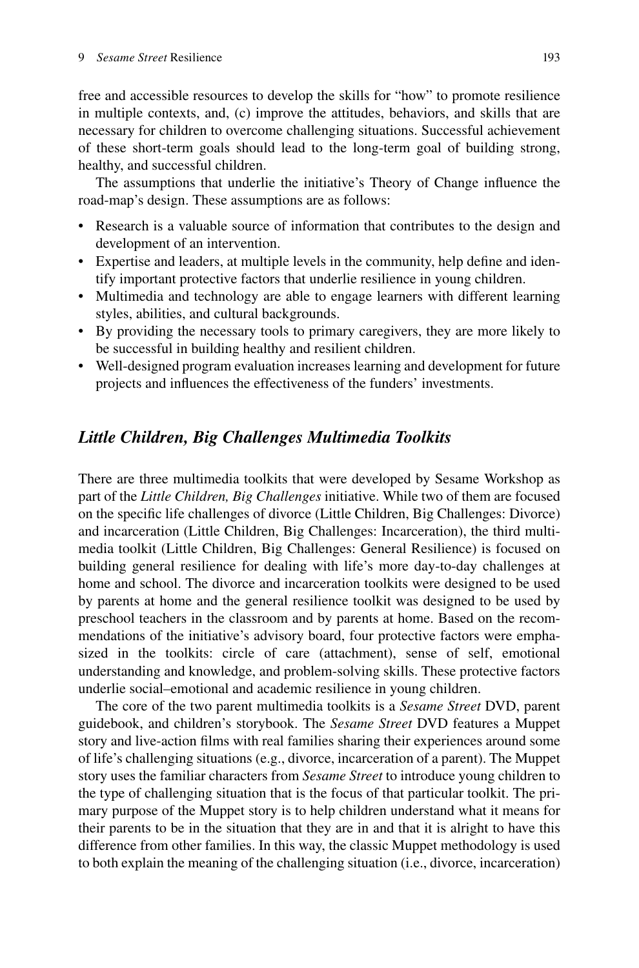free and accessible resources to develop the skills for "how" to promote resilience in multiple contexts, and, (c) improve the attitudes, behaviors, and skills that are necessary for children to overcome challenging situations. Successful achievement of these short-term goals should lead to the long-term goal of building strong, healthy, and successful children.

The assumptions that underlie the initiative's Theory of Change influence the road-map's design. These assumptions are as follows:

- Research is a valuable source of information that contributes to the design and development of an intervention.
- Expertise and leaders, at multiple levels in the community, help define and identify important protective factors that underlie resilience in young children.
- Multimedia and technology are able to engage learners with different learning styles, abilities, and cultural backgrounds.
- By providing the necessary tools to primary caregivers, they are more likely to be successful in building healthy and resilient children.
- Well-designed program evaluation increases learning and development for future projects and influences the effectiveness of the funders' investments.

## *Little Children, Big Challenges Multimedia Toolkits*

 There are three multimedia toolkits that were developed by Sesame Workshop as part of the *Little Children, Big Challenges* initiative. While two of them are focused on the specifi c life challenges of divorce (Little Children, Big Challenges: Divorce) and incarceration (Little Children, Big Challenges: Incarceration), the third multimedia toolkit (Little Children, Big Challenges: General Resilience) is focused on building general resilience for dealing with life's more day-to-day challenges at home and school. The divorce and incarceration toolkits were designed to be used by parents at home and the general resilience toolkit was designed to be used by preschool teachers in the classroom and by parents at home. Based on the recommendations of the initiative's advisory board, four protective factors were emphasized in the toolkits: circle of care (attachment), sense of self, emotional understanding and knowledge, and problem-solving skills. These protective factors underlie social–emotional and academic resilience in young children.

 The core of the two parent multimedia toolkits is a *Sesame Street* DVD, parent guidebook, and children's storybook. The *Sesame Street* DVD features a Muppet story and live-action films with real families sharing their experiences around some of life's challenging situations (e.g., divorce, incarceration of a parent). The Muppet story uses the familiar characters from *Sesame Street* to introduce young children to the type of challenging situation that is the focus of that particular toolkit. The primary purpose of the Muppet story is to help children understand what it means for their parents to be in the situation that they are in and that it is alright to have this difference from other families. In this way, the classic Muppet methodology is used to both explain the meaning of the challenging situation (i.e., divorce, incarceration)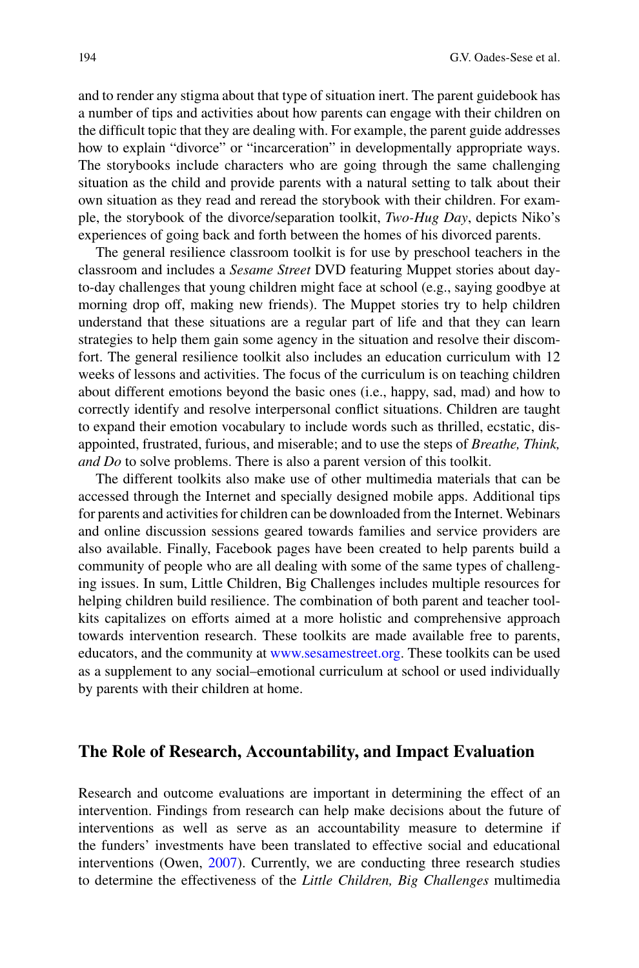and to render any stigma about that type of situation inert. The parent guidebook has a number of tips and activities about how parents can engage with their children on the difficult topic that they are dealing with. For example, the parent guide addresses how to explain "divorce" or "incarceration" in developmentally appropriate ways. The storybooks include characters who are going through the same challenging situation as the child and provide parents with a natural setting to talk about their own situation as they read and reread the storybook with their children. For example, the storybook of the divorce/separation toolkit, *Two-Hug Day* , depicts Niko's experiences of going back and forth between the homes of his divorced parents.

 The general resilience classroom toolkit is for use by preschool teachers in the classroom and includes a *Sesame Street* DVD featuring Muppet stories about dayto- day challenges that young children might face at school (e.g., saying goodbye at morning drop off, making new friends). The Muppet stories try to help children understand that these situations are a regular part of life and that they can learn strategies to help them gain some agency in the situation and resolve their discomfort. The general resilience toolkit also includes an education curriculum with 12 weeks of lessons and activities. The focus of the curriculum is on teaching children about different emotions beyond the basic ones (i.e., happy, sad, mad) and how to correctly identify and resolve interpersonal conflict situations. Children are taught to expand their emotion vocabulary to include words such as thrilled, ecstatic, disappointed, frustrated, furious, and miserable; and to use the steps of *Breathe, Think, and Do* to solve problems. There is also a parent version of this toolkit.

 The different toolkits also make use of other multimedia materials that can be accessed through the Internet and specially designed mobile apps. Additional tips for parents and activities for children can be downloaded from the Internet. Webinars and online discussion sessions geared towards families and service providers are also available. Finally, Facebook pages have been created to help parents build a community of people who are all dealing with some of the same types of challenging issues. In sum, Little Children, Big Challenges includes multiple resources for helping children build resilience. The combination of both parent and teacher toolkits capitalizes on efforts aimed at a more holistic and comprehensive approach towards intervention research. These toolkits are made available free to parents, educators, and the community at [www.sesamestreet.org.](http://www.sesamestreet.org/) These toolkits can be used as a supplement to any social–emotional curriculum at school or used individually by parents with their children at home.

#### **The Role of Research, Accountability, and Impact Evaluation**

 Research and outcome evaluations are important in determining the effect of an intervention. Findings from research can help make decisions about the future of interventions as well as serve as an accountability measure to determine if the funders' investments have been translated to effective social and educational interventions (Owen, [2007](#page-19-0)). Currently, we are conducting three research studies to determine the effectiveness of the *Little Children, Big Challenges* multimedia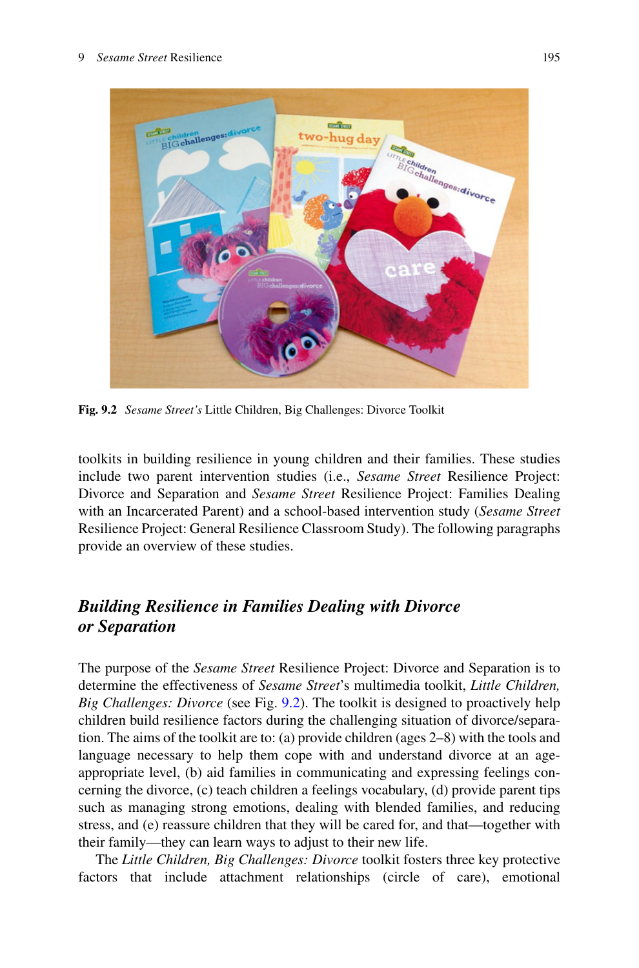

 **Fig. 9.2** *Sesame Street's* Little Children, Big Challenges: Divorce Toolkit

toolkits in building resilience in young children and their families. These studies include two parent intervention studies (i.e., *Sesame Street* Resilience Project: Divorce and Separation and *Sesame Street* Resilience Project: Families Dealing with an Incarcerated Parent) and a school-based intervention study (*Sesame Street* Resilience Project: General Resilience Classroom Study). The following paragraphs provide an overview of these studies.

# *Building Resilience in Families Dealing with Divorce or Separation*

 The purpose of the *Sesame Street* Resilience Project: Divorce and Separation is to determine the effectiveness of *Sesame Street*'s multimedia toolkit, *Little Children, Big Challenges: Divorce* (see Fig. 9.2). The toolkit is designed to proactively help children build resilience factors during the challenging situation of divorce/separation. The aims of the toolkit are to: (a) provide children (ages 2–8) with the tools and language necessary to help them cope with and understand divorce at an ageappropriate level, (b) aid families in communicating and expressing feelings concerning the divorce, (c) teach children a feelings vocabulary, (d) provide parent tips such as managing strong emotions, dealing with blended families, and reducing stress, and (e) reassure children that they will be cared for, and that—together with their family—they can learn ways to adjust to their new life.

 The *Little Children, Big Challenges: Divorce* toolkit fosters three key protective factors that include attachment relationships (circle of care), emotional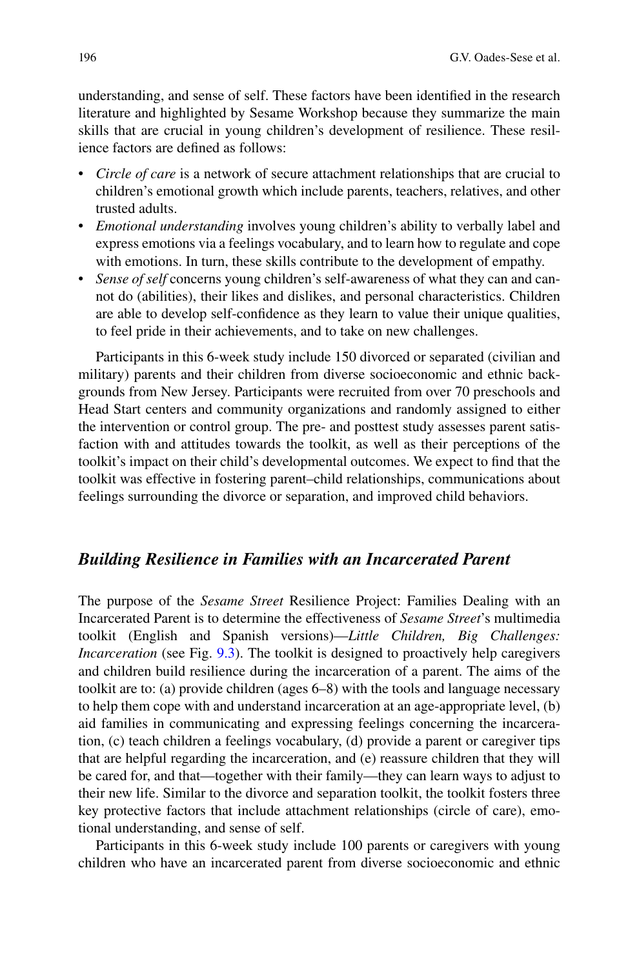understanding, and sense of self. These factors have been identified in the research literature and highlighted by Sesame Workshop because they summarize the main skills that are crucial in young children's development of resilience. These resilience factors are defined as follows:

- *Circle of care* is a network of secure attachment relationships that are crucial to children's emotional growth which include parents, teachers, relatives, and other trusted adults.
- *Emotional understanding* involves young children's ability to verbally label and express emotions via a feelings vocabulary, and to learn how to regulate and cope with emotions. In turn, these skills contribute to the development of empathy.
- *Sense of self* concerns young children's self-awareness of what they can and cannot do (abilities), their likes and dislikes, and personal characteristics. Children are able to develop self-confidence as they learn to value their unique qualities, to feel pride in their achievements, and to take on new challenges.

 Participants in this 6-week study include 150 divorced or separated (civilian and military) parents and their children from diverse socioeconomic and ethnic backgrounds from New Jersey. Participants were recruited from over 70 preschools and Head Start centers and community organizations and randomly assigned to either the intervention or control group. The pre- and posttest study assesses parent satisfaction with and attitudes towards the toolkit, as well as their perceptions of the toolkit's impact on their child's developmental outcomes. We expect to find that the toolkit was effective in fostering parent–child relationships, communications about feelings surrounding the divorce or separation, and improved child behaviors.

## *Building Resilience in Families with an Incarcerated Parent*

 The purpose of the *Sesame Street* Resilience Project: Families Dealing with an Incarcerated Parent is to determine the effectiveness of *Sesame Street*'s multimedia toolkit (English and Spanish versions)— *Little Children, Big Challenges: Incarceration* (see Fig. 9.3). The toolkit is designed to proactively help caregivers and children build resilience during the incarceration of a parent. The aims of the toolkit are to: (a) provide children (ages 6–8) with the tools and language necessary to help them cope with and understand incarceration at an age-appropriate level, (b) aid families in communicating and expressing feelings concerning the incarceration, (c) teach children a feelings vocabulary, (d) provide a parent or caregiver tips that are helpful regarding the incarceration, and (e) reassure children that they will be cared for, and that—together with their family—they can learn ways to adjust to their new life. Similar to the divorce and separation toolkit, the toolkit fosters three key protective factors that include attachment relationships (circle of care), emotional understanding, and sense of self.

 Participants in this 6-week study include 100 parents or caregivers with young children who have an incarcerated parent from diverse socioeconomic and ethnic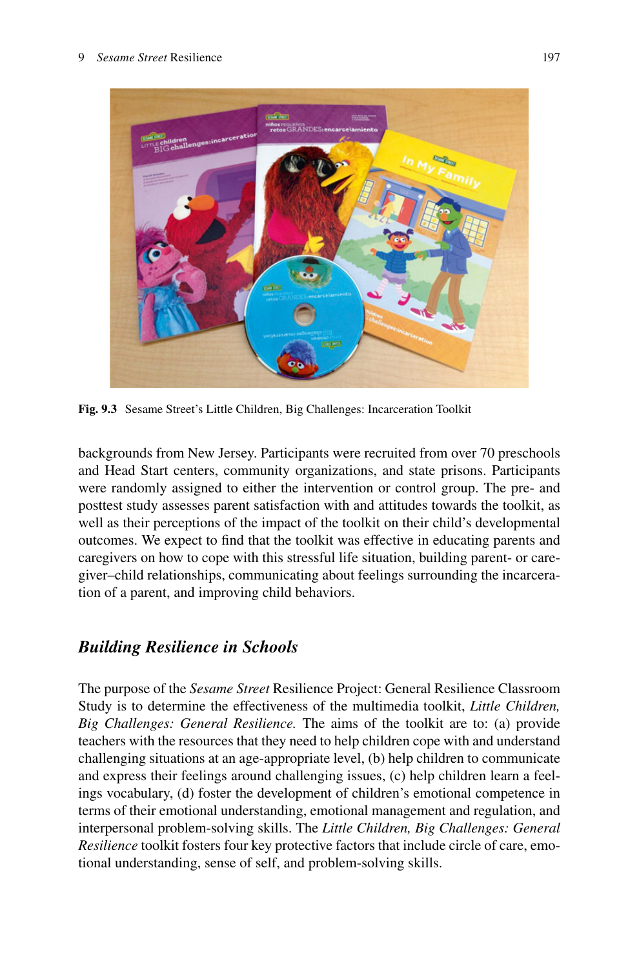<span id="page-16-0"></span>

 **Fig. 9.3** Sesame Street's Little Children, Big Challenges: Incarceration Toolkit

backgrounds from New Jersey. Participants were recruited from over 70 preschools and Head Start centers, community organizations, and state prisons. Participants were randomly assigned to either the intervention or control group. The pre- and posttest study assesses parent satisfaction with and attitudes towards the toolkit, as well as their perceptions of the impact of the toolkit on their child's developmental outcomes. We expect to find that the toolkit was effective in educating parents and caregivers on how to cope with this stressful life situation, building parent- or caregiver–child relationships, communicating about feelings surrounding the incarceration of a parent, and improving child behaviors.

# *Building Resilience in Schools*

 The purpose of the *Sesame Street* Resilience Project: General Resilience Classroom Study is to determine the effectiveness of the multimedia toolkit, *Little Children, Big Challenges: General Resilience.* The aims of the toolkit are to: (a) provide teachers with the resources that they need to help children cope with and understand challenging situations at an age-appropriate level, (b) help children to communicate and express their feelings around challenging issues, (c) help children learn a feelings vocabulary, (d) foster the development of children's emotional competence in terms of their emotional understanding, emotional management and regulation, and interpersonal problem-solving skills. The *Little Children, Big Challenges: General Resilience* toolkit fosters four key protective factors that include circle of care, emotional understanding, sense of self, and problem-solving skills.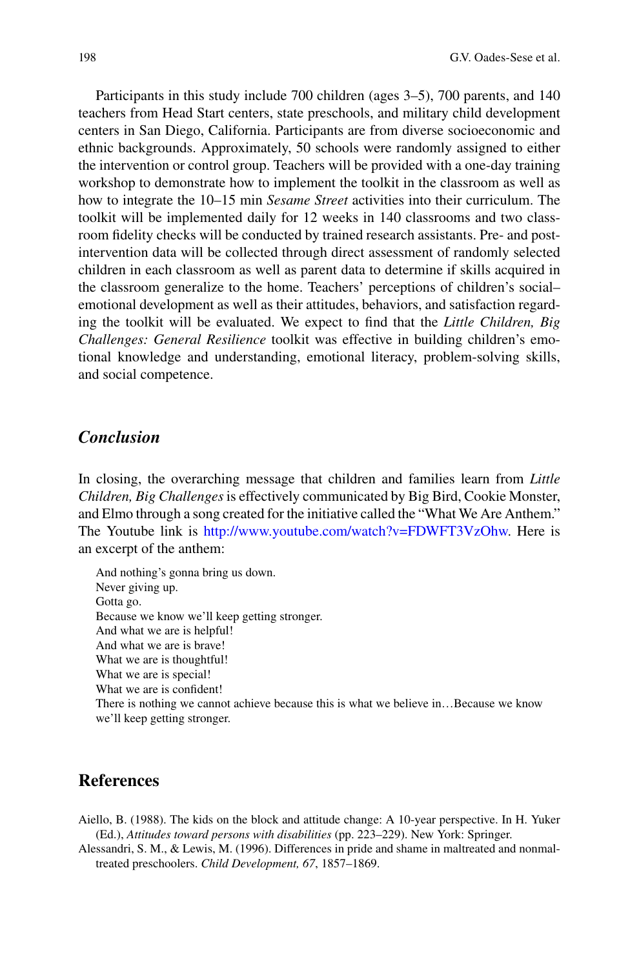<span id="page-17-0"></span> Participants in this study include 700 children (ages 3–5), 700 parents, and 140 teachers from Head Start centers, state preschools, and military child development centers in San Diego, California. Participants are from diverse socioeconomic and ethnic backgrounds. Approximately, 50 schools were randomly assigned to either the intervention or control group. Teachers will be provided with a one-day training workshop to demonstrate how to implement the toolkit in the classroom as well as how to integrate the 10–15 min *Sesame Street* activities into their curriculum. The toolkit will be implemented daily for 12 weeks in 140 classrooms and two classroom fidelity checks will be conducted by trained research assistants. Pre- and postintervention data will be collected through direct assessment of randomly selected children in each classroom as well as parent data to determine if skills acquired in the classroom generalize to the home. Teachers' perceptions of children's social– emotional development as well as their attitudes, behaviors, and satisfaction regarding the toolkit will be evaluated. We expect to find that the *Little Children*, Big *Challenges: General Resilience* toolkit was effective in building children's emotional knowledge and understanding, emotional literacy, problem-solving skills, and social competence.

## *Conclusion*

 In closing, the overarching message that children and families learn from *Little Children, Big Challenges* is effectively communicated by Big Bird, Cookie Monster, and Elmo through a song created for the initiative called the "What We Are Anthem." The Youtube link is <http://www.youtube.com/watch?v=FDWFT3VzOhw>. Here is an excerpt of the anthem:

 And nothing's gonna bring us down. Never giving up. Gotta go. Because we know we'll keep getting stronger. And what we are is helpful! And what we are is brave! What we are is thoughtful! What we are is special! What we are is confident! There is nothing we cannot achieve because this is what we believe in…Because we know we'll keep getting stronger.

## **References**

 Aiello, B. (1988). The kids on the block and attitude change: A 10-year perspective. In H. Yuker (Ed.), *Attitudes toward persons with disabilities* (pp. 223–229). New York: Springer.

 Alessandri, S. M., & Lewis, M. (1996). Differences in pride and shame in maltreated and nonmaltreated preschoolers. *Child Development, 67* , 1857–1869.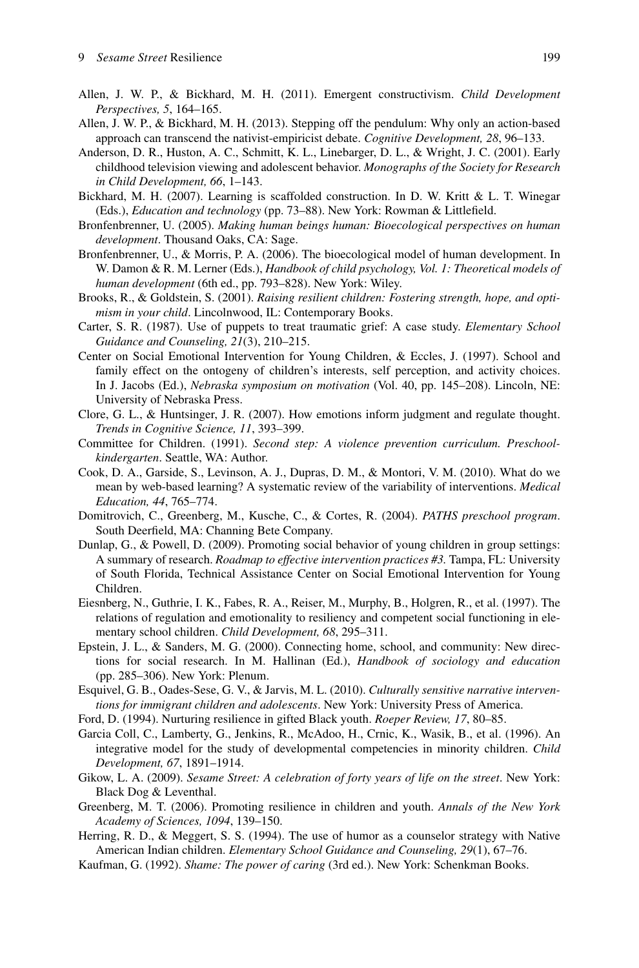- <span id="page-18-0"></span> Allen, J. W. P., & Bickhard, M. H. (2011). Emergent constructivism. *Child Development Perspectives, 5* , 164–165.
- Allen, J. W. P., & Bickhard, M. H. (2013). Stepping off the pendulum: Why only an action-based approach can transcend the nativist-empiricist debate. *Cognitive Development, 28* , 96–133.
- Anderson, D. R., Huston, A. C., Schmitt, K. L., Linebarger, D. L., & Wright, J. C. (2001). Early childhood television viewing and adolescent behavior. *Monographs of the Society for Research in Child Development, 66* , 1–143.
- Bickhard, M. H. (2007). Learning is scaffolded construction. In D. W. Kritt & L. T. Winegar (Eds.), *Education and technology* (pp. 73–88). New York: Rowman & Littlefield.
- Bronfenbrenner, U. (2005). *Making human beings human: Bioecological perspectives on human development* . Thousand Oaks, CA: Sage.
- Bronfenbrenner, U., & Morris, P. A. (2006). The bioecological model of human development. In W. Damon & R. M. Lerner (Eds.), *Handbook of child psychology, Vol. 1: Theoretical models of human development* (6th ed., pp. 793–828). New York: Wiley.
- Brooks, R., & Goldstein, S. (2001). *Raising resilient children: Fostering strength, hope, and optimism in your child*. Lincolnwood, IL: Contemporary Books.
- Carter, S. R. (1987). Use of puppets to treat traumatic grief: A case study. *Elementary School Guidance and Counseling, 21* (3), 210–215.
- Center on Social Emotional Intervention for Young Children, & Eccles, J. (1997). School and family effect on the ontogeny of children's interests, self perception, and activity choices. In J. Jacobs (Ed.), *Nebraska symposium on motivation* (Vol. 40, pp. 145–208). Lincoln, NE: University of Nebraska Press.
- Clore, G. L., & Huntsinger, J. R. (2007). How emotions inform judgment and regulate thought. *Trends in Cognitive Science, 11* , 393–399.
- Committee for Children. (1991). *Second step: A violence prevention curriculum. Preschoolkindergarten* . Seattle, WA: Author.
- Cook, D. A., Garside, S., Levinson, A. J., Dupras, D. M., & Montori, V. M. (2010). What do we mean by web-based learning? A systematic review of the variability of interventions. *Medical Education, 44* , 765–774.
- Domitrovich, C., Greenberg, M., Kusche, C., & Cortes, R. (2004). *PATHS preschool program* . South Deerfield, MA: Channing Bete Company.
- Dunlap, G., & Powell, D. (2009). Promoting social behavior of young children in group settings: A summary of research. *Roadmap to effective intervention practices #3.* Tampa, FL: University of South Florida, Technical Assistance Center on Social Emotional Intervention for Young Children.
- Eiesnberg, N., Guthrie, I. K., Fabes, R. A., Reiser, M., Murphy, B., Holgren, R., et al. (1997). The relations of regulation and emotionality to resiliency and competent social functioning in elementary school children. *Child Development, 68* , 295–311.
- Epstein, J. L., & Sanders, M. G. (2000). Connecting home, school, and community: New directions for social research. In M. Hallinan (Ed.), *Handbook of sociology and education* (pp. 285–306). New York: Plenum.
- Esquivel, G. B., Oades-Sese, G. V., & Jarvis, M. L. (2010). *Culturally sensitive narrative interventions for immigrant children and adolescents* . New York: University Press of America.
- Ford, D. (1994). Nurturing resilience in gifted Black youth. *Roeper Review, 17* , 80–85.
- Garcia Coll, C., Lamberty, G., Jenkins, R., McAdoo, H., Crnic, K., Wasik, B., et al. (1996). An integrative model for the study of developmental competencies in minority children. *Child Development, 67* , 1891–1914.
- Gikow, L. A. (2009). *Sesame Street: A celebration of forty years of life on the street* . New York: Black Dog & Leventhal.
- Greenberg, M. T. (2006). Promoting resilience in children and youth. *Annals of the New York Academy of Sciences, 1094* , 139–150.
- Herring, R. D., & Meggert, S. S. (1994). The use of humor as a counselor strategy with Native American Indian children. *Elementary School Guidance and Counseling, 29* (1), 67–76.
- Kaufman, G. (1992). *Shame: The power of caring* (3rd ed.). New York: Schenkman Books.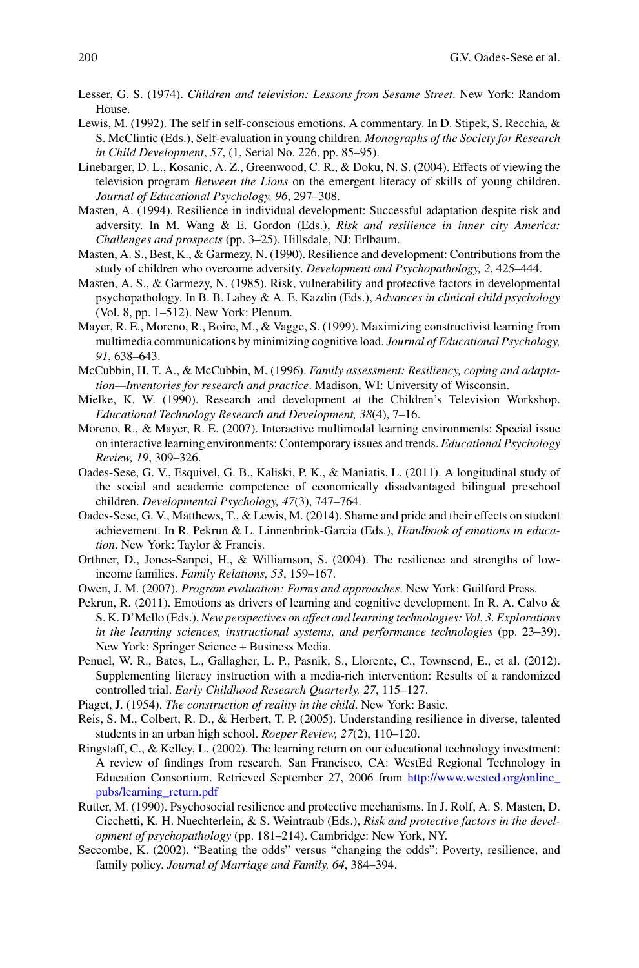- <span id="page-19-0"></span> Lesser, G. S. (1974). *Children and television: Lessons from Sesame Street* . New York: Random House.
- Lewis, M. (1992). The self in self-conscious emotions. A commentary. In D. Stipek, S. Recchia, & S. McClintic (Eds.), Self-evaluation in young children. *Monographs of the Society for Research in Child Development* , *57* , (1, Serial No. 226, pp. 85–95).
- Linebarger, D. L., Kosanic, A. Z., Greenwood, C. R., & Doku, N. S. (2004). Effects of viewing the television program *Between the Lions* on the emergent literacy of skills of young children. *Journal of Educational Psychology, 96* , 297–308.
- Masten, A. (1994). Resilience in individual development: Successful adaptation despite risk and adversity. In M. Wang & E. Gordon (Eds.), *Risk and resilience in inner city America: Challenges and prospects* (pp. 3–25). Hillsdale, NJ: Erlbaum.
- Masten, A. S., Best, K., & Garmezy, N. (1990). Resilience and development: Contributions from the study of children who overcome adversity. *Development and Psychopathology, 2* , 425–444.
- Masten, A. S., & Garmezy, N. (1985). Risk, vulnerability and protective factors in developmental psychopathology. In B. B. Lahey & A. E. Kazdin (Eds.), *Advances in clinical child psychology* (Vol. 8, pp. 1–512). New York: Plenum.
- Mayer, R. E., Moreno, R., Boire, M., & Vagge, S. (1999). Maximizing constructivist learning from multimedia communications by minimizing cognitive load. *Journal of Educational Psychology, 91* , 638–643.
- McCubbin, H. T. A., & McCubbin, M. (1996). *Family assessment: Resiliency, coping and adaptation—Inventories for research and practice* . Madison, WI: University of Wisconsin.
- Mielke, K. W. (1990). Research and development at the Children's Television Workshop. *Educational Technology Research and Development, 38* (4), 7–16.
- Moreno, R., & Mayer, R. E. (2007). Interactive multimodal learning environments: Special issue on interactive learning environments: Contemporary issues and trends. *Educational Psychology Review, 19* , 309–326.
- Oades-Sese, G. V., Esquivel, G. B., Kaliski, P. K., & Maniatis, L. (2011). A longitudinal study of the social and academic competence of economically disadvantaged bilingual preschool children. *Developmental Psychology, 47* (3), 747–764.
- Oades-Sese, G. V., Matthews, T., & Lewis, M. (2014). Shame and pride and their effects on student achievement. In R. Pekrun & L. Linnenbrink-Garcia (Eds.), *Handbook of emotions in education* . New York: Taylor & Francis.
- Orthner, D., Jones-Sanpei, H., & Williamson, S. (2004). The resilience and strengths of lowincome families. *Family Relations, 53* , 159–167.
- Owen, J. M. (2007). *Program evaluation: Forms and approaches* . New York: Guilford Press.
- Pekrun, R. (2011). Emotions as drivers of learning and cognitive development. In R. A. Calvo & S. K. D'Mello (Eds.), *New perspectives on affect and learning technologies: Vol. 3. Explorations in the learning sciences, instructional systems, and performance technologies* (pp. 23–39). New York: Springer Science + Business Media.
- Penuel, W. R., Bates, L., Gallagher, L. P., Pasnik, S., Llorente, C., Townsend, E., et al. (2012). Supplementing literacy instruction with a media-rich intervention: Results of a randomized controlled trial. *Early Childhood Research Quarterly, 27, 115-127*.
- Piaget, J. (1954). *The construction of reality in the child*. New York: Basic.
- Reis, S. M., Colbert, R. D., & Herbert, T. P. (2005). Understanding resilience in diverse, talented students in an urban high school. *Roeper Review, 27*(2), 110-120.
- Ringstaff, C., & Kelley, L. (2002). The learning return on our educational technology investment: A review of findings from research. San Francisco, CA: WestEd Regional Technology in Education Consortium. Retrieved September 27, 2006 from [http://www.wested.org/online\\_](http://www.wested.org/online_pubs/learning_return.pdf) [pubs/learning\\_return.pdf](http://www.wested.org/online_pubs/learning_return.pdf)
- Rutter, M. (1990). Psychosocial resilience and protective mechanisms. In J. Rolf, A. S. Masten, D. Cicchetti, K. H. Nuechterlein, & S. Weintraub (Eds.), *Risk and protective factors in the development of psychopathology* (pp. 181–214). Cambridge: New York, NY.
- Seccombe, K. (2002). "Beating the odds" versus "changing the odds": Poverty, resilience, and family policy. *Journal of Marriage and Family, 64* , 384–394.